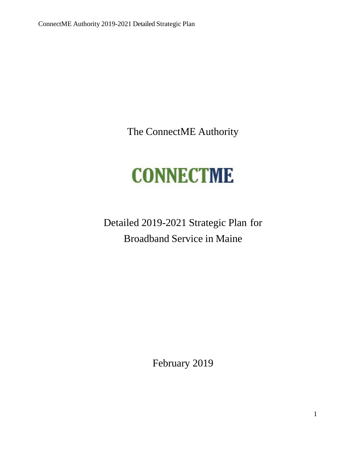The ConnectME Authority

# **CONNECTME**

Detailed 2019-2021 Strategic Plan for Broadband Service in Maine

February 2019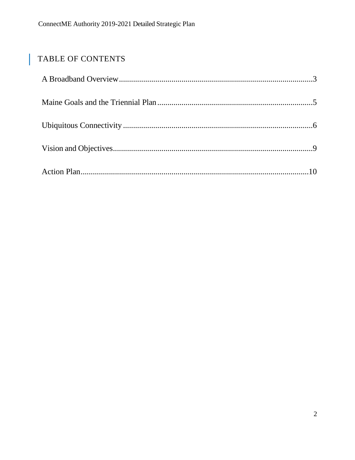# TABLE OF CONTENTS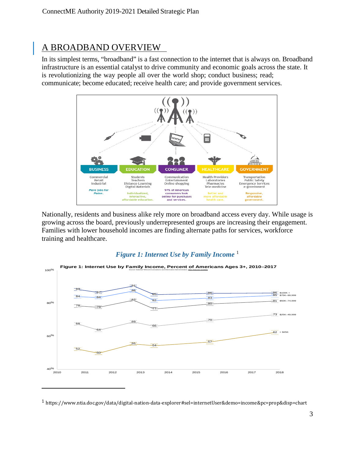# <span id="page-2-0"></span>A BROADBAND OVERVIEW

In its simplest terms, "broadband" is a fast connection to the internet that is always on. Broadband infrastructure is an essential catalyst to drive community and economic goals across the state. It is revolutionizing the way people all over the world shop; conduct business; read; communicate; become educated; receive health care; and provide government services.



Nationally, residents and business alike rely more on broadband access every day. While usage is growing across the board, previously underrepresented groups are increasing their engagement. Families with lower household incomes are finding alternate paths for services, workforce training and healthcare.

#### *Figure 1: Internet Use by Family Income* [1](#page-2-1)



<span id="page-2-1"></span>https://www.ntia.doc.gov/data/digital-nation-data-explorer#sel=internetUser&demo=income&pc=prop&disp=chart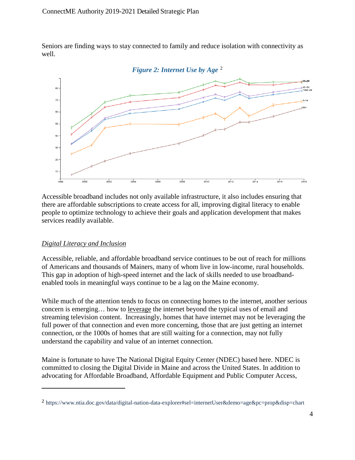Seniors are finding ways to stay connected to family and reduce isolation with connectivity as well.



Accessible broadband includes not only available infrastructure, it also includes ensuring that there are affordable subscriptions to create access for all, improving digital literacy to enable people to optimize technology to achieve their goals and application development that makes services readily available.

#### *Digital Literacy and Inclusion*

 $\overline{a}$ 

Accessible, reliable, and affordable broadband service continues to be out of reach for millions of Americans and thousands of Mainers, many of whom live in low-income, rural households. This gap in adoption of high-speed internet and the lack of skills needed to use broadbandenabled tools in meaningful ways continue to be a lag on the Maine economy.

While much of the attention tends to focus on connecting homes to the internet, another serious concern is emerging… how to leverage the internet beyond the typical uses of email and streaming television content. Increasingly, homes that have internet may not be leveraging the full power of that connection and even more concerning, those that are just getting an internet connection, or the 1000s of homes that are still waiting for a connection, may not fully understand the capability and value of an internet connection.

Maine is fortunate to have The National Digital Equity Center (NDEC) based here. NDEC is committed to closing the Digital Divide in Maine and across the United States. In addition to advocating for Affordable Broadband, Affordable Equipment and Public Computer Access,

<span id="page-3-0"></span><sup>2</sup> https://www.ntia.doc.gov/data/digital-nation-data-explorer#sel=internetUser&demo=age&pc=prop&disp=chart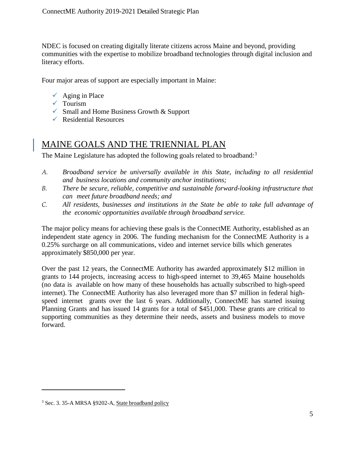NDEC is focused on creating digitally literate citizens across Maine and beyond, providing communities with the expertise to mobilize broadband technologies through digital inclusion and literacy efforts.

Four major areas of support are especially important in Maine:

- $\checkmark$  Aging in Place
- $\checkmark$  Tourism
- $\checkmark$  Small and Home Business Growth & Support
- $\sqrt{\phantom{a}}$  Residential Resources

### <span id="page-4-0"></span>MAINE GOALS AND THE TRIENNIAL PLAN

The Maine Legislature has adopted the following goals related to broadband:<sup>[3](#page-4-1)</sup>

- *A. Broadband service be universally available in this State, including to all residential and business locations and community anchor institutions;*
- *B. There be secure, reliable, competitive and sustainable forward-looking infrastructure that can meet future broadband needs; and*
- *C. All residents, businesses and institutions in the State be able to take full advantage of the economic opportunities available through broadband service.*

The major policy means for achieving these goals is the ConnectME Authority, established as an independent state agency in 2006. The funding mechanism for the ConnectME Authority is a 0.25% surcharge on all communications, video and internet service bills which generates approximately \$850,000 per year.

Over the past 12 years, the ConnectME Authority has awarded approximately \$12 million in grants to 144 projects, increasing access to high-speed internet to 39,465 Maine households (no data is available on how many of these households has actually subscribed to high-speed internet). The ConnectME Authority has also leveraged more than \$7 million in federal highspeed internet grants over the last 6 years. Additionally, ConnectME has started issuing Planning Grants and has issued 14 grants for a total of \$451,000. These grants are critical to supporting communities as they determine their needs, assets and business models to move forward.

<span id="page-4-1"></span><sup>3</sup> Sec. 3. 35-A MRSA §9202-A, State broadband policy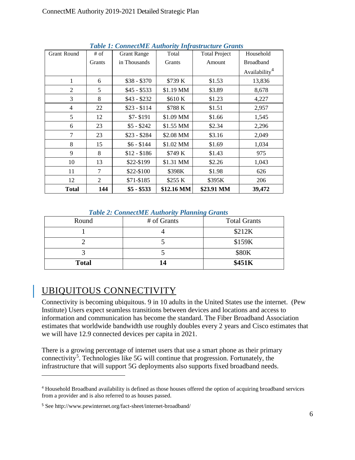| Lable 1: ConnectME Authority Infrastructure Grants |                |                    |            |                      |                           |  |
|----------------------------------------------------|----------------|--------------------|------------|----------------------|---------------------------|--|
| Grant Round                                        | # of           | <b>Grant Range</b> | Total      | <b>Total Project</b> | Household                 |  |
|                                                    | Grants         | in Thousands       | Grants     | Amount               | <b>Broadband</b>          |  |
|                                                    |                |                    |            |                      | Availability <sup>4</sup> |  |
| 1                                                  | 6              | $$38 - $370$       | \$739 K    | \$1.53               | 13,836                    |  |
| $\overline{2}$                                     | 5              | $$45 - $533$       | \$1.19 MM  | \$3.89               | 8,678                     |  |
| 3                                                  | 8              | $$43 - $232$       | \$610K     | \$1.23               | 4,227                     |  |
| $\overline{4}$                                     | 22             | $$23 - $114$       | \$788 K    | \$1.51               | 2,957                     |  |
| 5                                                  | 12             | $$7 - $191$        | \$1.09 MM  | \$1.66               | 1,545                     |  |
| 6                                                  | 23             | $$5 - $242$        | \$1.55 MM  | \$2.34               | 2,296                     |  |
| 7                                                  | 23             | $$23 - $284$       | \$2.08 MM  | \$3.16               | 2,049                     |  |
| 8                                                  | 15             | $$6 - $144$        | \$1.02 MM  | \$1.69               | 1,034                     |  |
| 9                                                  | 8              | $$12 - $186$       | \$749 K    | \$1.43               | 975                       |  |
| 10                                                 | 13             | \$22-\$199         | \$1.31 MM  | \$2.26               | 1,043                     |  |
| 11                                                 | 7              | \$22-\$100         | \$398K     | \$1.98               | 626                       |  |
| 12                                                 | $\overline{2}$ | $$71-$185$         | \$255 K    | \$395K               | 206                       |  |
| <b>Total</b>                                       | 144            | $$5 - $533$        | \$12.16 MM | \$23.91 MM           | 39,472                    |  |

 *Table 1: ConnectME Authority Infrastructure Grants*

#### *Table 2: ConnectME Authority Planning Grants*

| Round        | # of Grants | <b>Total Grants</b> |
|--------------|-------------|---------------------|
|              |             | \$212K              |
|              |             | \$159K              |
|              |             | \$80K               |
| <b>Total</b> | 14          | \$451K              |

## <span id="page-5-0"></span>UBIQUITOUS CONNECTIVITY

Connectivity is becoming ubiquitous. 9 in 10 adults in the United States use the internet. (Pew Institute) Users expect seamless transitions between devices and locations and access to information and communication has become the standard. The Fiber Broadband Association estimates that worldwide bandwidth use roughly doubles every 2 years and Cisco estimates that we will have 12.9 connected devices per capita in 2021.

There is a growing percentage of internet users that use a smart phone as their primary connectivity<sup>[5](#page-5-2)</sup>. Technologies like 5G will continue that progression. Fortunately, the infrastructure that will support 5G deployments also supports fixed broadband needs.

<span id="page-5-1"></span><sup>4</sup> Household Broadband availability is defined as those houses offered the option of acquiring broadband services from a provider and is also referred to as houses passed.

<span id="page-5-2"></span><sup>5</sup> See<http://www.pewinternet.org/fact-sheet/internet-broadband/>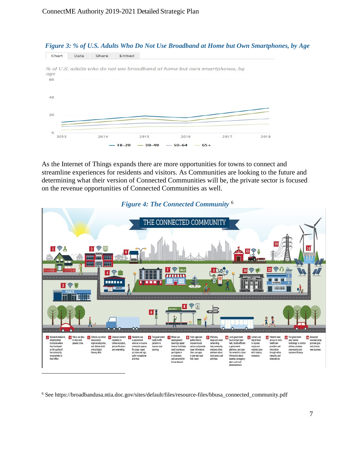

As the Internet of Things expands there are more opportunities for towns to connect and streamline experiences for residents and visitors. As Communities are looking to the future and determining what their version of Connected Communities will be, the private sector is focused on the revenue opportunities of Connected Communities as well.



#### *Figure 4: The Connected Community* [6](#page-6-0)

<span id="page-6-0"></span><sup>6</sup> Se[e https://broadbandusa.ntia.doc.gov/sites/default/files/resource-files/bbusa\\_connected\\_community.pdf](https://broadbandusa.ntia.doc.gov/sites/default/files/resource-files/bbusa_connected_community.pdf)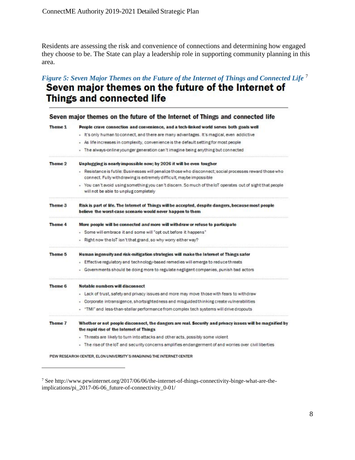Residents are assessing the risk and convenience of connections and determining how engaged they choose to be. The State can play a leadership role in supporting community planning in this area.

# *Figure 5: Seven Major Themes on the Future of the Internet of Things and Connected Life* <sup>[7](#page-7-0)</sup><br>**Seven major themes on the future of the Internet of** Things and connected life

|         | Seven major themes on the future of the Internet of Things and connected life                                                                                                   |  |  |  |  |  |
|---------|---------------------------------------------------------------------------------------------------------------------------------------------------------------------------------|--|--|--|--|--|
| Theme 1 | People crave connection and convenience, and a tech-linked world serves both goals well                                                                                         |  |  |  |  |  |
|         | - It's only human to connect, and there are many advantages. It's magical, even addictive                                                                                       |  |  |  |  |  |
|         | - As life increases in complexity, convenience is the default setting for most people                                                                                           |  |  |  |  |  |
|         | The always-online younger generation can't imagine being anything but connected                                                                                                 |  |  |  |  |  |
| Theme 2 | Unplugging is nearly impossible now; by 2026 it will be even tougher                                                                                                            |  |  |  |  |  |
|         | - Resistance is futile: Businesses will penalize those who disconnect; social processes reward those who<br>connect. Fully withdrawing is extremely difficult, maybe impossible |  |  |  |  |  |
|         | - You can't avoid using something you can't discern. So much of the loT operates out of sight that people<br>will not be able to unplug completely                              |  |  |  |  |  |
| Theme 3 | Risk is part of life. The Internet of Things will be accepted, despite dangers, because most people<br>believe the worst-case scenario would never happen to them               |  |  |  |  |  |
| Theme 4 | More people will be connected and more will withdraw or refuse to participate                                                                                                   |  |  |  |  |  |
|         | - Some will embrace it and some will "opt out before it happens"                                                                                                                |  |  |  |  |  |
|         | - Right now the IoT isn't that grand, so why worry either way?                                                                                                                  |  |  |  |  |  |
| Theme 5 | Human ingenuity and risk-mitigation strategies will make the Internet of Things safer                                                                                           |  |  |  |  |  |
|         | - Effective regulatory and technology-based remedies will emerge to reduce threats                                                                                              |  |  |  |  |  |
|         | Governments should be doing more to regulate negligent companies, punish bad actors                                                                                             |  |  |  |  |  |
| Theme 6 | Notable numbers will disconnect                                                                                                                                                 |  |  |  |  |  |
|         | - Lack of trust, safety and privacy issues and more may move those with fears to withdraw                                                                                       |  |  |  |  |  |
|         | Corporate intransigence, shortsightedness and misguided thinking create vulnerabilities                                                                                         |  |  |  |  |  |
|         | "TMI" and less-than-stellar performance from complex tech systems will drive dropouts                                                                                           |  |  |  |  |  |
| Theme 7 | Whether or not people disconnect, the dangers are real. Security and privacy issues will be magnified by<br>the rapid rise of the Internet of Things                            |  |  |  |  |  |
|         | - Threats are likely to turn into attacks and other acts, possibly some violent                                                                                                 |  |  |  |  |  |
|         | The rise of the loT and security concerns amplifies endangerment of and worries over civil liberties                                                                            |  |  |  |  |  |
|         | PEW RESEARCH CENTER, ELON UNIVERSITY'S IMAGINING THE INTERNET CENTER                                                                                                            |  |  |  |  |  |

<span id="page-7-0"></span><sup>7</sup> Se[e http://www.pewinternet.org/2017/06/06/the-internet-of-things-connectivity-binge-what-are-the-](http://www.pewinternet.org/2017/06/06/the-internet-of-things-connectivity-binge-what-are-the-implications/pi_2017-06-06_future-of-connectivity_0-01/)

[implications/pi\\_2017-06-06\\_future-of-connectivity\\_0-01/](http://www.pewinternet.org/2017/06/06/the-internet-of-things-connectivity-binge-what-are-the-implications/pi_2017-06-06_future-of-connectivity_0-01/)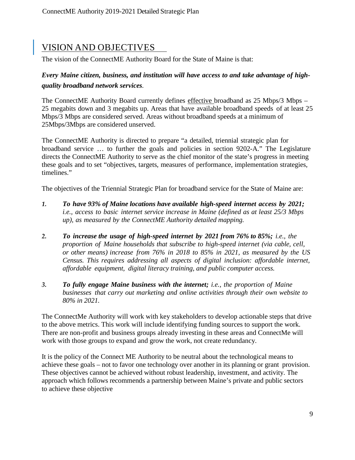# <span id="page-8-0"></span>VISION AND OBJECTIVES

The vision of the ConnectME Authority Board for the State of Maine is that:

#### *Every Maine citizen, business, and institution will have access to and take advantage of highquality broadband network services.*

The ConnectME Authority Board currently defines effective broadband as 25 Mbps/3 Mbps – 25 megabits down and 3 megabits up. Areas that have available broadband speeds of at least 25 Mbps/3 Mbps are considered served. Areas without broadband speeds at a minimum of 25Mbps/3Mbps are considered unserved.

The ConnectME Authority is directed to prepare "a detailed, triennial strategic plan for broadband service … to further the goals and policies in section 9202-A." The Legislature directs the ConnectME Authority to serve as the chief monitor of the state's progress in meeting these goals and to set "objectives, targets, measures of performance, implementation strategies, timelines."

The objectives of the Triennial Strategic Plan for broadband service for the State of Maine are:

- *1. To have 93% of Maine locations have available high-speed internet access by 2021; i.e., access to basic internet service increase in Maine (defined as at least 25/3 Mbps up), as measured by the ConnectME Authority detailed mapping.*
- *2. To increase the usage of high-speed internet by 2021 from 76% to 85%; i.e., the proportion of Maine households that subscribe to high-speed internet (via cable, cell, or other means) increase from 76% in 2018 to 85% in 2021, as measured by the US Census. This requires addressing all aspects of digital inclusion: affordable internet, affordable equipment, digital literacy training, and public computer access.*
- *3. To fully engage Maine business with the internet; i.e., the proportion of Maine businesses that carry out marketing and online activities through their own website to 80% in 2021.*

The ConnectMe Authority will work with key stakeholders to develop actionable steps that drive to the above metrics. This work will include identifying funding sources to support the work. There are non-profit and business groups already investing in these areas and ConnectMe will work with those groups to expand and grow the work, not create redundancy.

It is the policy of the Connect ME Authority to be neutral about the technological means to achieve these goals – not to favor one technology over another in its planning or grant provision. These objectives cannot be achieved without robust leadership, investment, and activity. The approach which follows recommends a partnership between Maine's private and public sectors to achieve these objective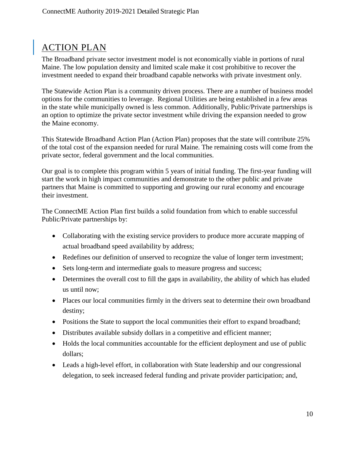# <span id="page-9-0"></span>ACTION PLAN

The Broadband private sector investment model is not economically viable in portions of rural Maine. The low population density and limited scale make it cost prohibitive to recover the investment needed to expand their broadband capable networks with private investment only.

The Statewide Action Plan is a community driven process. There are a number of business model options for the communities to leverage. Regional Utilities are being established in a few areas in the state while municipally owned is less common. Additionally, Public/Private partnerships is an option to optimize the private sector investment while driving the expansion needed to grow the Maine economy.

This Statewide Broadband Action Plan (Action Plan) proposes that the state will contribute 25% of the total cost of the expansion needed for rural Maine. The remaining costs will come from the private sector, federal government and the local communities.

Our goal is to complete this program within 5 years of initial funding. The first-year funding will start the work in high impact communities and demonstrate to the other public and private partners that Maine is committed to supporting and growing our rural economy and encourage their investment.

The ConnectME Action Plan first builds a solid foundation from which to enable successful Public/Private partnerships by:

- Collaborating with the existing service providers to produce more accurate mapping of actual broadband speed availability by address;
- Redefines our definition of unserved to recognize the value of longer term investment;
- Sets long-term and intermediate goals to measure progress and success;
- Determines the overall cost to fill the gaps in availability, the ability of which has eluded us until now;
- Places our local communities firmly in the drivers seat to determine their own broadband destiny;
- Positions the State to support the local communities their effort to expand broadband;
- Distributes available subsidy dollars in a competitive and efficient manner;
- Holds the local communities accountable for the efficient deployment and use of public dollars;
- Leads a high-level effort, in collaboration with State leadership and our congressional delegation, to seek increased federal funding and private provider participation; and,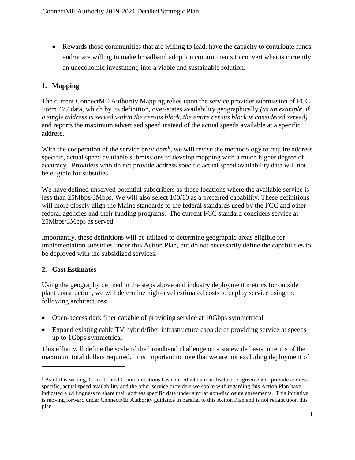• Rewards those communities that are willing to lead, have the capacity to contribute funds and/or are willing to make broadband adoption commitments to convert what is currently an uneconomic investment, into a viable and sustainable solution.

#### **1. Mapping**

The current ConnectME Authority Mapping relies upon the service provider submission of FCC Form 477 data, which by its definition, over-states availability geographically *(as an example, if a single address is served within the census block, the entire census block is considered served)*  and reports the maximum advertised speed instead of the actual speeds available at a specific address.

With the cooperation of the service providers<sup>[8](#page-10-0)</sup>, we will revise the methodology to require address specific, actual speed available submissions to develop mapping with a much higher degree of accuracy. Providers who do not provide address specific actual speed availability data will not be eligible for subsidies.

We have defined unserved potential subscribers as those locations where the available service is less than 25Mbps/3Mbps. We will also select 100/10 as a preferred capability. These definitions will more closely align the Maine standards to the federal standards used by the FCC and other federal agencies and their funding programs. The current FCC standard considers service at 25Mbps/3Mbps as served.

Importantly, these definitions will be utilized to determine geographic areas eligible for implementation subsidies under this Action Plan, but do not necessarily define the capabilities to be deployed with the subsidized services.

#### **2. Cost Estimates**

 $\overline{a}$ 

Using the geography defined in the steps above and industry deployment metrics for outside plant construction, we will determine high-level estimated costs to deploy service using the following architectures:

- Open-access dark fiber capable of providing service at 10Gbps symmetrical
- Expand existing cable TV hybrid/fiber infrastructure capable of providing service at speeds up to 1Gbps symmetrical

This effort will define the scale of the broadband challenge on a statewide basis in terms of the maximum total dollars required. It is important to note that we are not excluding deployment of

<span id="page-10-0"></span><sup>&</sup>lt;sup>8</sup> As of this writing, Consolidated Communications has entered into a non-disclosure agreement to provide address specific, actual speed availability and the other service providers we spoke with regarding this Action Plan have indicated a willingness to share their address specific data under similar non-disclosure agreements. This initiative is moving forward under ConnectME Authority guidance in parallel to this Action Plan and is not reliant upon this plan.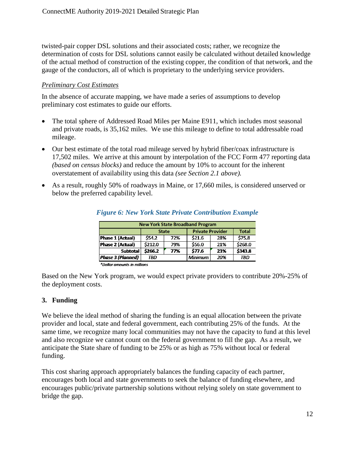twisted-pair copper DSL solutions and their associated costs; rather, we recognize the determination of costs for DSL solutions cannot easily be calculated without detailed knowledge of the actual method of construction of the existing copper, the condition of that network, and the gauge of the conductors, all of which is proprietary to the underlying service providers.

#### *Preliminary Cost Estimates*

In the absence of accurate mapping, we have made a series of assumptions to develop preliminary cost estimates to guide our efforts.

- The total sphere of Addressed Road Miles per Maine E911, which includes most seasonal and private roads, is 35,162 miles. We use this mileage to define to total addressable road mileage.
- Our best estimate of the total road mileage served by hybrid fiber/coax infrastructure is 17,502 miles. We arrive at this amount by interpolation of the FCC Form 477 reporting data *(based on census blocks)* and reduce the amount by 10% to account for the inherent overstatement of availability using this data *(see Section 2.1 above).*
- As a result, roughly 50% of roadways in Maine, or 17,660 miles, is considered unserved or below the preferred capability level.

| <b>New York State Broadband Program</b> |            |              |                         |              |         |  |  |
|-----------------------------------------|------------|--------------|-------------------------|--------------|---------|--|--|
|                                         |            | <b>State</b> | <b>Private Provider</b> | <b>Total</b> |         |  |  |
| <b>Phase 1 (Actual)</b>                 | \$54.2\$   | 72%          | \$21.6                  | 28%          | \$75.8  |  |  |
| <b>Phase 2 (Actual)</b>                 | \$212.0    | 79%          | \$56.0                  | 21%          | \$268.0 |  |  |
| <b>Subtotal</b>                         | \$266.2    | 77%          | \$77.6\$                | 23%          | \$343.8 |  |  |
| <b>Phase 3 (Planned)</b>                | <b>TRD</b> |              | <b>Minimum</b>          | 20%          | TBD     |  |  |
|                                         |            |              |                         |              |         |  |  |

#### *Figure 6: New York State Private Contribution Example*

\*Dollar amounts in millions

Based on the New York program, we would expect private providers to contribute 20%-25% of the deployment costs.

#### **3. Funding**

We believe the ideal method of sharing the funding is an equal allocation between the private provider and local, state and federal government, each contributing 25% of the funds. At the same time, we recognize many local communities may not have the capacity to fund at this level and also recognize we cannot count on the federal government to fill the gap. As a result, we anticipate the State share of funding to be 25% or as high as 75% without local or federal funding.

This cost sharing approach appropriately balances the funding capacity of each partner, encourages both local and state governments to seek the balance of funding elsewhere, and encourages public/private partnership solutions without relying solely on state government to bridge the gap.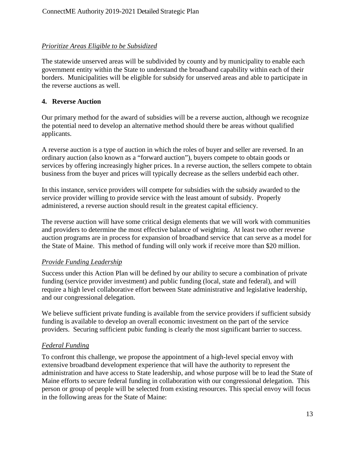#### *Prioritize Areas Eligible to be Subsidized*

The statewide unserved areas will be subdivided by county and by municipality to enable each government entity within the State to understand the broadband capability within each of their borders. Municipalities will be eligible for subsidy for unserved areas and able to participate in the reverse auctions as well.

#### **4. Reverse Auction**

Our primary method for the award of subsidies will be a reverse auction, although we recognize the potential need to develop an alternative method should there be areas without qualified applicants.

A reverse auction is a type of [auction](https://en.wikipedia.org/wiki/Auction) in which the roles of buyer and seller are reversed. In an ordinary auction (also known as a "forward auction"), buyers compete to obtain goods or services by offering increasingly higher prices. In a reverse auction, the sellers compete to obtain business from the buyer and prices will typically decrease as the sellers underbid each other.

In this instance, service providers will compete for subsidies with the subsidy awarded to the service provider willing to provide service with the least amount of subsidy. Properly administered, a reverse auction should result in the greatest capital efficiency.

The reverse auction will have some critical design elements that we will work with communities and providers to determine the most effective balance of weighting. At least two other reverse auction programs are in process for expansion of broadband service that can serve as a model for the State of Maine. This method of funding will only work if receive more than \$20 million.

#### *Provide Funding Leadership*

Success under this Action Plan will be defined by our ability to secure a combination of private funding (service provider investment) and public funding (local, state and federal), and will require a high level collaborative effort between State administrative and legislative leadership, and our congressional delegation.

We believe sufficient private funding is available from the service providers if sufficient subsidy funding is available to develop an overall economic investment on the part of the service providers. Securing sufficient pubic funding is clearly the most significant barrier to success.

#### *Federal Funding*

To confront this challenge, we propose the appointment of a high-level special envoy with extensive broadband development experience that will have the authority to represent the administration and have access to State leadership, and whose purpose will be to lead the State of Maine efforts to secure federal funding in collaboration with our congressional delegation. This person or group of people will be selected from existing resources. This special envoy will focus in the following areas for the State of Maine: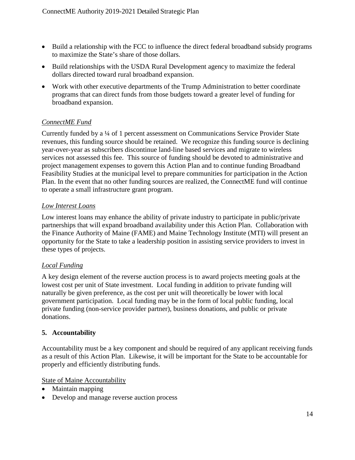- Build a relationship with the FCC to influence the direct federal broadband subsidy programs to maximize the State's share of those dollars.
- Build relationships with the USDA Rural Development agency to maximize the federal dollars directed toward rural broadband expansion.
- Work with other executive departments of the Trump Administration to better coordinate programs that can direct funds from those budgets toward a greater level of funding for broadband expansion.

#### *ConnectME Fund*

Currently funded by a ¼ of 1 percent assessment on Communications Service Provider State revenues, this funding source should be retained. We recognize this funding source is declining year-over-year as subscribers discontinue land-line based services and migrate to wireless services not assessed this fee. This source of funding should be devoted to administrative and project management expenses to govern this Action Plan and to continue funding Broadband Feasibility Studies at the municipal level to prepare communities for participation in the Action Plan. In the event that no other funding sources are realized, the ConnectME fund will continue to operate a small infrastructure grant program.

#### *Low Interest Loans*

Low interest loans may enhance the ability of private industry to participate in public/private partnerships that will expand broadband availability under this Action Plan. Collaboration with the Finance Authority of Maine (FAME) and Maine Technology Institute (MTI) will present an opportunity for the State to take a leadership position in assisting service providers to invest in these types of projects.

#### *Local Funding*

A key design element of the reverse auction process is to award projects meeting goals at the lowest cost per unit of State investment. Local funding in addition to private funding will naturally be given preference, as the cost per unit will theoretically be lower with local government participation. Local funding may be in the form of local public funding, local private funding (non-service provider partner), business donations, and public or private donations.

#### **5. Accountability**

Accountability must be a key component and should be required of any applicant receiving funds as a result of this Action Plan. Likewise, it will be important for the State to be accountable for properly and efficiently distributing funds.

#### State of Maine Accountability

- Maintain mapping
- Develop and manage reverse auction process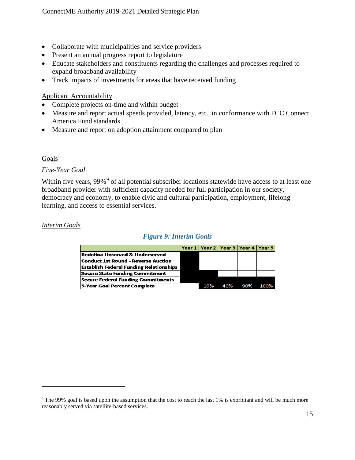- Collaborate with municipalities and service providers
- Present an annual progress report to legislature
- Educate stakeholders and constituents regarding the challenges and processes required to expand broadband availability
- Track impacts of investments for areas that have received funding

#### Applicant Accountability

- Complete projects on-time and within budget
- Measure and report actual speeds provided, latency, etc., in conformance with FCC Connect America Fund standards
- Measure and report on adoption attainment compared to plan

#### Goals

#### *Five-Year Goal*

Within five years, [9](#page-14-0)9%<sup>9</sup> of all potential subscriber locations statewide have access to at least one broadband provider with sufficient capacity needed for full participation in our society, democracy and economy, to enable civic and cultural participation, employment, lifelong learning, and access to essential services.

#### *Interim Goals*

 $\overline{a}$ 

#### *Figure 9: Interim Goals*

|                                                |     | Year 1   Year 2   Year 3   Year 4   Year 5 |     |      |
|------------------------------------------------|-----|--------------------------------------------|-----|------|
| Redefine Unserved & Underserved                |     |                                            |     |      |
| Conduct 1st Round - Reverse Auction            |     |                                            |     |      |
| <b>Establish Federal Funding Relationships</b> |     |                                            |     |      |
| <b>Secure State Funding Commitment</b>         |     |                                            |     |      |
| <b>Secure Federal Funding Commitments</b>      |     |                                            |     |      |
| 5-Year Goal Percent Complete                   | 10% | 40%                                        | 90% | 100% |

<span id="page-14-0"></span><sup>&</sup>lt;sup>9</sup> The 99% goal is based upon the assumption that the cost to reach the last 1% is exorbitant and will be much more reasonably served via satellite-based services.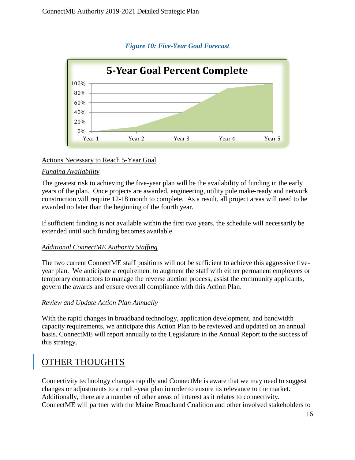

#### *Figure 10: Five-Year Goal Forecast*

#### Actions Necessary to Reach 5-Year Goal

#### *Funding Availability*

The greatest risk to achieving the five-year plan will be the availability of funding in the early years of the plan. Once projects are awarded, engineering, utility pole make-ready and network construction will require 12-18 month to complete. As a result, all project areas will need to be awarded no later than the beginning of the fourth year.

If sufficient funding is not available within the first two years, the schedule will necessarily be extended until such funding becomes available.

#### *Additional ConnectME Authority Staffing*

The two current ConnectME staff positions will not be sufficient to achieve this aggressive fiveyear plan. We anticipate a requirement to augment the staff with either permanent employees or temporary contractors to manage the reverse auction process, assist the community applicants, govern the awards and ensure overall compliance with this Action Plan.

#### *Review and Update Action Plan Annually*

With the rapid changes in broadband technology, application development, and bandwidth capacity requirements, we anticipate this Action Plan to be reviewed and updated on an annual basis. ConnectME will report annually to the Legislature in the Annual Report to the success of this strategy.

# OTHER THOUGHTS

Connectivity technology changes rapidly and ConnectMe is aware that we may need to suggest changes or adjustments to a multi-year plan in order to ensure its relevance to the market. Additionally, there are a number of other areas of interest as it relates to connectivity. ConnectME will partner with the Maine Broadband Coalition and other involved stakeholders to